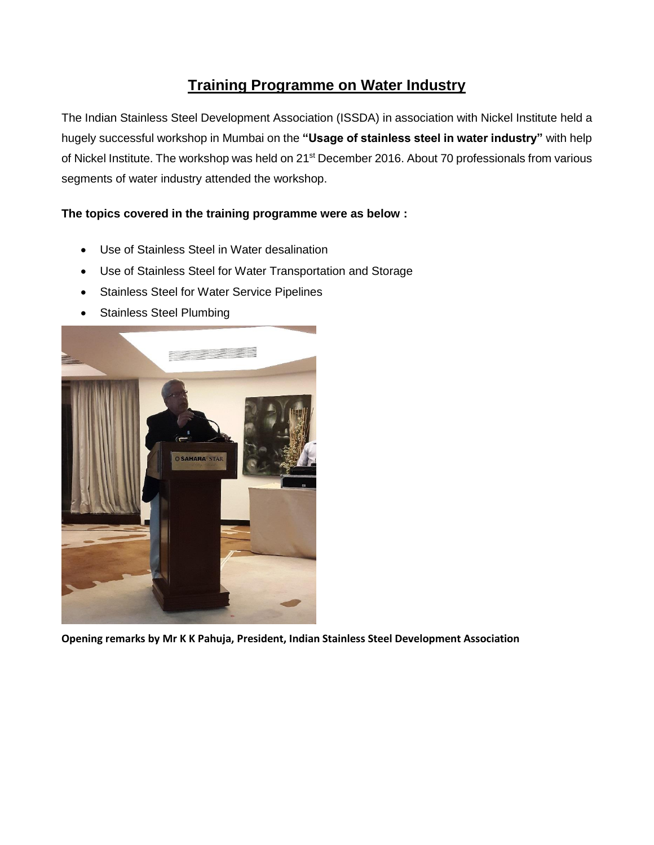## **Training Programme on Water Industry**

The Indian Stainless Steel Development Association (ISSDA) in association with Nickel Institute held a hugely successful workshop in Mumbai on the **"Usage of stainless steel in water industry"** with help of Nickel Institute. The workshop was held on 21<sup>st</sup> December 2016. About 70 professionals from various segments of water industry attended the workshop.

## **The topics covered in the training programme were as below :**

- Use of Stainless Steel in Water desalination
- Use of Stainless Steel for Water Transportation and Storage
- Stainless Steel for Water Service Pipelines
- Stainless Steel Plumbing



**Opening remarks by Mr K K Pahuja, President, Indian Stainless Steel Development Association**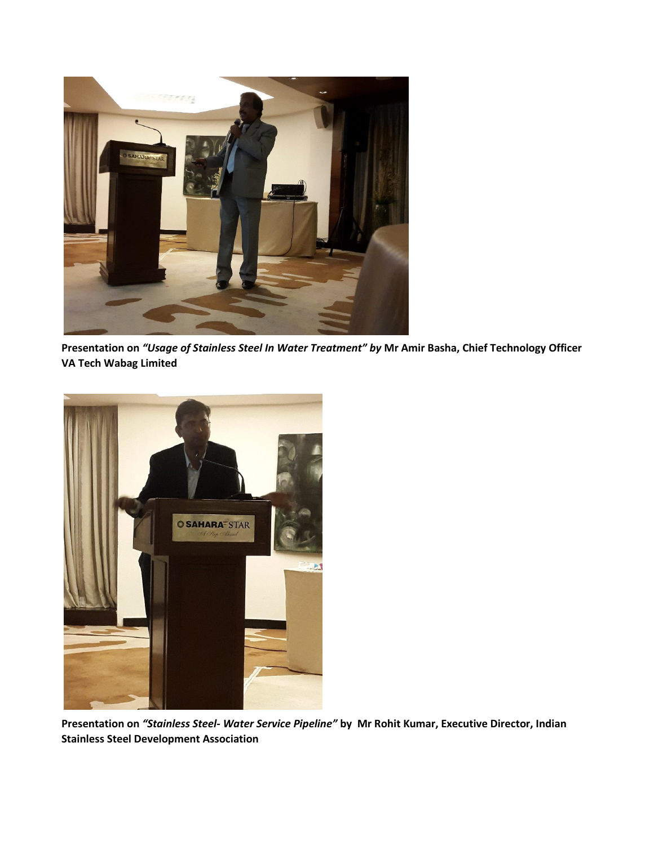

**Presentation on** *"Usage of Stainless Steel In Water Treatment" by* **Mr Amir Basha, Chief Technology Officer VA Tech Wabag Limited**



**Presentation on** *"Stainless Steel- Water Service Pipeline"* **by Mr Rohit Kumar, Executive Director, Indian Stainless Steel Development Association**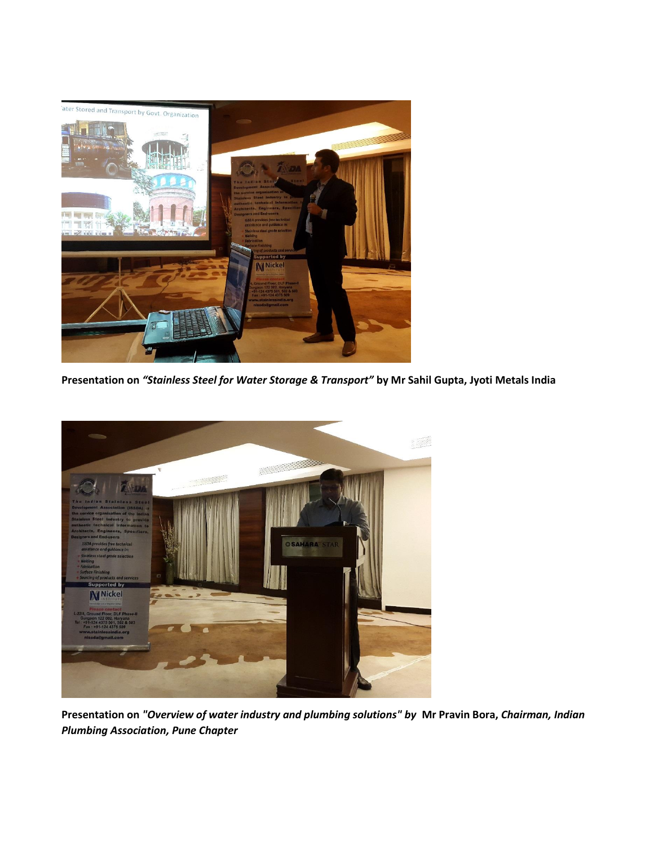

**Presentation on** *"Stainless Steel for Water Storage & Transport"* **by Mr Sahil Gupta, Jyoti Metals India**



**Presentation on** *"Overview of water industry and plumbing solutions" by* **Mr Pravin Bora,** *Chairman, Indian Plumbing Association, Pune Chapter*